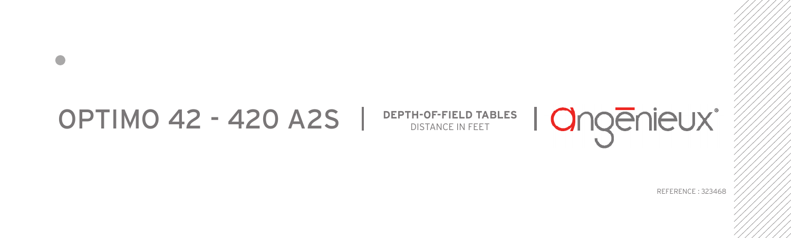## OPTIMO 42 - 420 A2S STANCE IN FEET TABLES

REFERENCE : 323468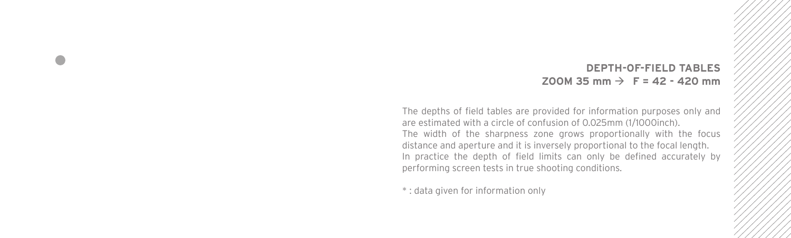## **DEPTH-OF-FIELD TABLES**  $700M$  35 mm  $\rightarrow$  F = 42 - 420 mm

The depths of field tables are provided for information purposes only and are estimated with a circle of confusion of 0.025mm (1/1000inch). The width of the sharpness zone grows proportionally with the focus distance and aperture and it is inversely proportional to the focal length. In practice the depth of field limits can only be defined accurately by performing screen tests in true shooting conditions.

\* : data given for information only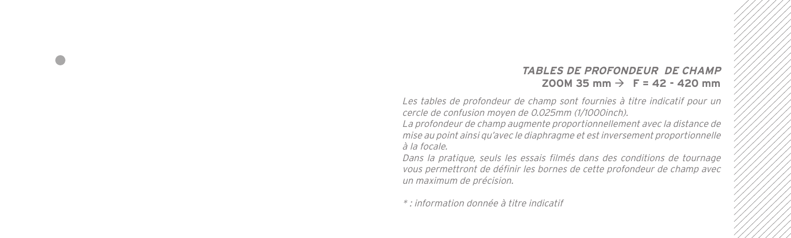## **TABLES DE PROFONDEUR DE CHAMP**  $200M$  35 mm  $\rightarrow$  F = 42 - 420 mm

Les tables de profondeur de champ sont fournies à titre indicatif pour un cercle de confusion moyen de 0.025mm (1/1000inch).

La profondeur de champ augmente proportionnellement avec la distance de mise au point ainsi qu'avec le diaphragme et est inversement proportionnelle à la focale.

Dans la pratique, seuls les essais filmés dans des conditions de tournage vous permettront de définir les bornes de cette profondeur de champ avec un maximum de précision.

\* : information donnée à titre indicatif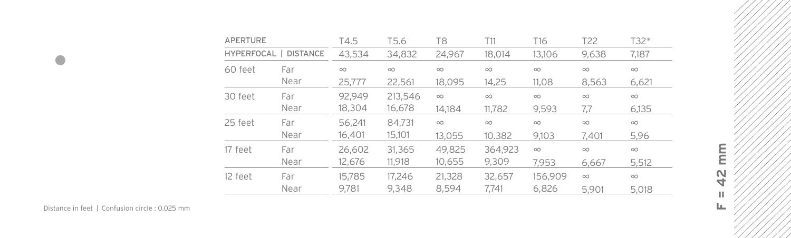| <b>APERTURE</b> |                       | T4.5     | T <sub>5.6</sub> | T <sub>8</sub> | T11      | T <sub>16</sub> | T <sub>22</sub> | T32*     |
|-----------------|-----------------------|----------|------------------|----------------|----------|-----------------|-----------------|----------|
|                 | HYPERFOCAL   DISTANCE | 43.534   | 34,832           | 24.967         | 18.014   | 13.106          | 9,638           | 7.187    |
| 60 feet         | Far                   | $\infty$ | $\infty$         | $\infty$       | $\infty$ | $\infty$        | $\infty$        | $\infty$ |
|                 | Near                  | 25.777   | 22,561           | 18.095         | 14,25    | 11.08           | 8.563           | 6,621    |
| 30 feet         | Far                   | 92.949   | 213,546          | $\infty$       | $\infty$ | $\infty$        | $\infty$        | $\infty$ |
|                 | Near                  | 18,304   | 16,678           | 14.184         | 11.782   | 9.593           | 7.7             | 6.135    |
| 25 feet         | Far                   | 56.241   | 84,731           | $\infty$       | $\infty$ | $\infty$        | $\infty$        | $\infty$ |
|                 | Near                  | 16,401   | 15,101           | 13.055         | 10.382   | 9.103           | 7.401           | 5.96     |
| 17 feet         | Far                   | 26,602   | 31,365           | 49,825         | 364.923  | $\infty$        | $\infty$        | $\infty$ |
|                 | Near                  | 12.676   | 11,918           | 10,655         | 9.309    | 7.953           | 6.667           | 5.512    |
| 12 feet         | Far                   | 15.785   | 17.246           | 21,328         | 32.657   | 156,909         | $\infty$        | $\infty$ |
|                 | Near                  | 9.781    | 9.348            | 8,594          | 7.741    | 6,826           | 5.901           | 5.018    |

 $\bullet$ 

mm **F = 42 mm** $\frac{1}{2}$  $\mathbb H$  $\mathbf{L}_\mathbf{L}$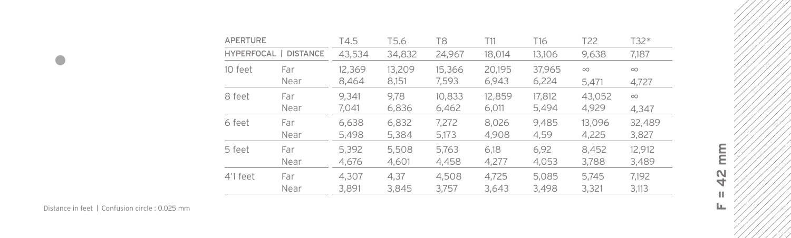| <b>APERTURE</b> |                 | T4.5   | T5.6   | T8     | T11    | T <sub>16</sub> | T <sub>22</sub> | T32*     |
|-----------------|-----------------|--------|--------|--------|--------|-----------------|-----------------|----------|
| HYPERFOCAL      | <b>DISTANCE</b> | 43,534 | 34,832 | 24.967 | 18.014 | 13.106          | 9,638           | 7.187    |
| 10 feet         | Far             | 12,369 | 13,209 | 15,366 | 20.195 | 37,965          | $\infty$        | $\infty$ |
|                 | Near            | 8,464  | 8.151  | 7,593  | 6,943  | 6,224           | 5.471           | 4,727    |
| 8 feet          | Far             | 9.341  | 9.78   | 10.833 | 12.859 | 17.812          | 43,052          | $\infty$ |
|                 | Near            | 7.041  | 6,836  | 6,462  | 6,011  | 5,494           | 4,929           | 4.347    |
| 6 feet          | Far             | 6.638  | 6,832  | 7,272  | 8.026  | 9.485           | 13.096          | 32,489   |
|                 | Near            | 5,498  | 5,384  | 5,173  | 4,908  | 4.59            | 4,225           | 3,827    |
| 5 feet          | Far             | 5,392  | 5,508  | 5,763  | 6.18   | 6,92            | 8.452           | 12,912   |
|                 | Near            | 4.676  | 4.601  | 4.458  | 4.277  | 4.053           | 3,788           | 3,489    |
| 4'1 feet        | Far             | 4.307  | 4.37   | 4.508  | 4.725  | 5.085           | 5.745           | 7.192    |
|                 | Near            | 3.891  | 3.845  | 3.757  | 3.643  | 3,498           | 3,321           | 3,113    |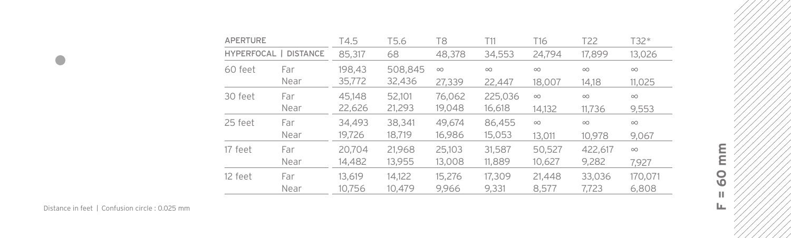| <b>APERTURE</b> |                       | T4.5   | T5.6    | T8       | T11      | T16      | T <sub>22</sub> | T32*     |
|-----------------|-----------------------|--------|---------|----------|----------|----------|-----------------|----------|
|                 | HYPERFOCAL   DISTANCE | 85,317 | 68      | 48,378   | 34,553   | 24.794   | 17,899          | 13,026   |
| 60 feet         | Far                   | 198,43 | 508,845 | $\infty$ | $\infty$ | $\infty$ | $\infty$        | $\infty$ |
|                 | Near                  | 35,772 | 32,436  | 27,339   | 22,447   | 18,007   | 14.18           | 11.025   |
| 30 feet         | Far                   | 45.148 | 52.101  | 76,062   | 225,036  | $\infty$ | $\infty$        | $\infty$ |
|                 | Near                  | 22,626 | 21,293  | 19,048   | 16,618   | 14.132   | 11.736          | 9,553    |
| 25 feet         | Far                   | 34,493 | 38,341  | 49.674   | 86,455   | $\infty$ | $\infty$        | $\infty$ |
|                 | Near                  | 19.726 | 18,719  | 16,986   | 15,053   | 13,011   | 10.978          | 9.067    |
| 17 feet         | Far                   | 20,704 | 21.968  | 25.103   | 31,587   | 50.527   | 422.617         | $\infty$ |
|                 | Near                  | 14,482 | 13,955  | 13,008   | 11,889   | 10,627   | 9,282           | 7.927    |
| 12 feet         | Far                   | 13.619 | 14.122  | 15.276   | 17,309   | 21,448   | 33.036          | 170,071  |
|                 | Near                  | 10.756 | 10.479  | 9.966    | 9,331    | 8.577    | 7.723           | 6,808    |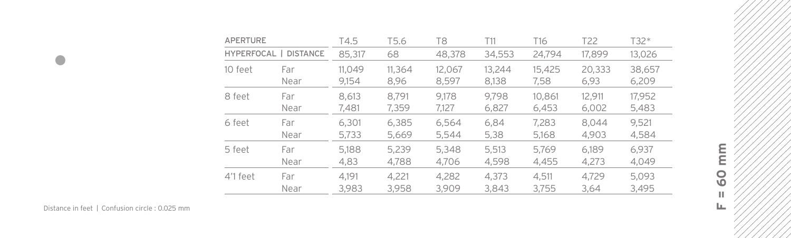| <b>APERTURE</b> |                       | T4.5   | T <sub>5.6</sub> | T8     | T11    | T16    | T <sub>22</sub> | T32*   |
|-----------------|-----------------------|--------|------------------|--------|--------|--------|-----------------|--------|
|                 | HYPERFOCAL   DISTANCE | 85,317 | 68               | 48,378 | 34,553 | 24.794 | 17,899          | 13,026 |
| 10 feet         | Far                   | 11,049 | 11.364           | 12.067 | 13,244 | 15,425 | 20,333          | 38,657 |
|                 | Near                  | 9,154  | 8.96             | 8.597  | 8,138  | 7,58   | 6,93            | 6,209  |
| 8 feet          | Far                   | 8.613  | 8.791            | 9.178  | 9.798  | 10.861 | 12.911          | 17,952 |
|                 | Near                  | 7.481  | 7,359            | 7,127  | 6,827  | 6,453  | 6,002           | 5,483  |
| 6 feet          | Far                   | 6.301  | 6.385            | 6.564  | 6.84   | 7.283  | 8.044           | 9.521  |
|                 | Near                  | 5,733  | 5,669            | 5.544  | 5,38   | 5,168  | 4.903           | 4.584  |
| 5 feet          | Far                   | 5,188  | 5.239            | 5,348  | 5,513  | 5,769  | 6.189           | 6.937  |
|                 | Near                  | 4,83   | 4.788            | 4.706  | 4,598  | 4.455  | 4,273           | 4.049  |
| 4'1 feet        | Far                   | 4.191  | 4.221            | 4.282  | 4,373  | 4.511  | 4.729           | 5.093  |
|                 | Near                  | 3,983  | 3,958            | 3.909  | 3.843  | 3,755  | 3.64            | 3.495  |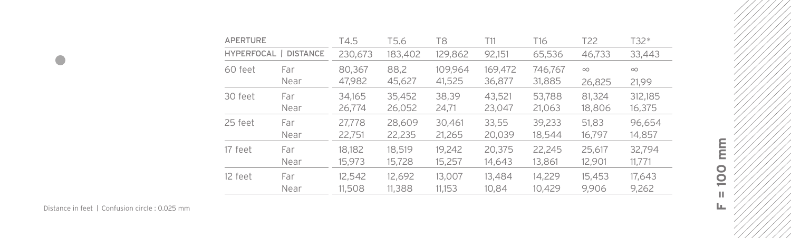| <b>APERTURE</b> |                 | T4.5                          | T5.6   | T <sub>8</sub> | T11     | T <sub>16</sub> | T <sub>22</sub> | T32*     |
|-----------------|-----------------|-------------------------------|--------|----------------|---------|-----------------|-----------------|----------|
| HYPERFOCAL      | <b>DISTANCE</b> | 230,673<br>183,402<br>129,862 |        | 92,151         | 65,536  | 46,733          | 33,443          |          |
| 60 feet         | Far             | 80.367                        | 88,2   | 109.964        | 169.472 | 746,767         | $\infty$        | $\infty$ |
|                 | Near            | 47,982                        | 45,627 | 41,525         | 36,877  | 31,885          | 26,825          | 21.99    |
| 30 feet         | Far             | 34.165                        | 35,452 | 38.39          | 43.521  | 53,788          | 81.324          | 312,185  |
|                 | Near            | 26,774                        | 26,052 | 24,71          | 23,047  | 21,063          | 18,806          | 16,375   |
| 25 feet         | Far             | 27.778                        | 28,609 | 30,461         | 33,55   | 39,233          | 51,83           | 96,654   |
|                 | Near            | 22,751                        | 22,235 | 21,265         | 20,039  | 18,544          | 16,797          | 14,857   |
| 17 feet         | Far             | 18.182                        | 18.519 | 19.242         | 20,375  | 22.245          | 25.617          | 32.794   |
|                 | Near            | 15,973                        | 15,728 | 15,257         | 14,643  | 13,861          | 12,901          | 11,771   |
| 12 feet         | Far             | 12.542                        | 12,692 | 13.007         | 13,484  | 14.229          | 15,453          | 17,643   |
|                 | Near            | 11,508                        | 11,388 | 11,153         | 10.84   | 10.429          | 9.906           | 9,262    |

 $\bullet$ 

mm **F = 100 mm**100  $\mathbb H$  $\mathbf{L}_\mathbf{L}$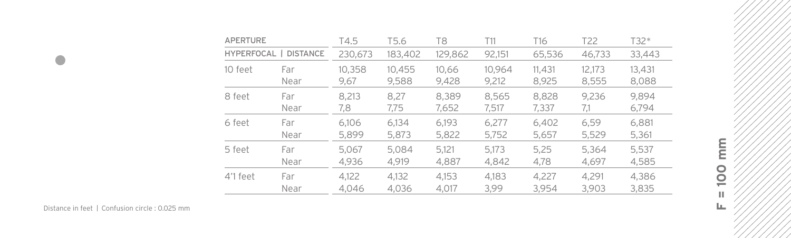| <b>APERTURE</b> |                       | T4.5    | T5.6    | T8      | T11    | T <sub>16</sub> | T <sub>22</sub> | T32*   |
|-----------------|-----------------------|---------|---------|---------|--------|-----------------|-----------------|--------|
|                 | HYPERFOCAL   DISTANCE | 230,673 | 183,402 | 129,862 | 92,151 | 65,536          | 46,733          | 33,443 |
| 10 feet         | Far                   | 10,358  | 10,455  | 10.66   | 10,964 | 11,431          | 12,173          | 13,431 |
|                 | Near                  | 9,67    | 9,588   | 9,428   | 9,212  | 8.925           | 8,555           | 8,088  |
| 8 feet          | Far                   | 8.213   | 8.27    | 8.389   | 8.565  | 8.828           | 9.236           | 9.894  |
|                 | Near                  | 7,8     | 7,75    | 7,652   | 7,517  | 7,337           | 7,1             | 6,794  |
| 6 feet          | Far                   | 6.106   | 6.134   | 6.193   | 6.277  | 6,402           | 6.59            | 6,881  |
|                 | Near                  | 5,899   | 5.873   | 5,822   | 5,752  | 5,657           | 5,529           | 5,361  |
| 5 feet          | Far                   | 5.067   | 5.084   | 5.121   | 5,173  | 5,25            | 5.364           | 5,537  |
|                 | Near                  | 4.936   | 4.919   | 4.887   | 4.842  | 4,78            | 4.697           | 4.585  |
| 4'1 feet        | Far                   | 4.122   | 4.132   | 4.153   | 4.183  | 4.227           | 4.291           | 4.386  |
|                 | Near                  | 4.046   | 4.036   | 4.017   | 3.99   | 3,954           | 3.903           | 3,835  |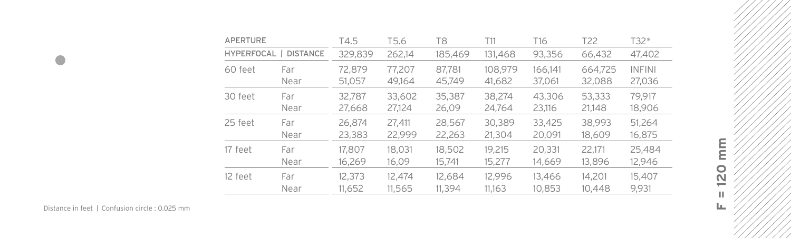| <b>APERTURE</b> |                       | T4.5    | T5.6   | T8      | T11     | T16     | T <sub>22</sub> | T32*          |
|-----------------|-----------------------|---------|--------|---------|---------|---------|-----------------|---------------|
|                 | HYPERFOCAL   DISTANCE | 329,839 | 262.14 | 185,469 | 131,468 | 93,356  | 66,432          | 47,402        |
| 60 feet         | Far                   | 72.879  | 77.207 | 87.781  | 108,979 | 166,141 | 664,725         | <b>INFINI</b> |
|                 | Near                  | 51,057  | 49,164 | 45,749  | 41,682  | 37,061  | 32,088          | 27,036        |
| 30 feet         | Far                   | 32.787  | 33,602 | 35,387  | 38,274  | 43,306  | 53,333          | 79.917        |
|                 | Near                  | 27,668  | 27,124 | 26,09   | 24,764  | 23.116  | 21,148          | 18,906        |
| 25 feet         | Far                   | 26.874  | 27.411 | 28.567  | 30.389  | 33,425  | 38.993          | 51.264        |
|                 | Near                  | 23,383  | 22,999 | 22,263  | 21,304  | 20,091  | 18,609          | 16,875        |
| 17 feet         | Far                   | 17,807  | 18,031 | 18,502  | 19.215  | 20,331  | 22.171          | 25,484        |
|                 | Near                  | 16,269  | 16,09  | 15,741  | 15,277  | 14,669  | 13,896          | 12,946        |
| 12 feet         | Far                   | 12,373  | 12.474 | 12.684  | 12.996  | 13,466  | 14.201          | 15.407        |
|                 | Near                  | 11,652  | 11.565 | 11.394  | 11.163  | 10.853  | 10,448          | 9.931         |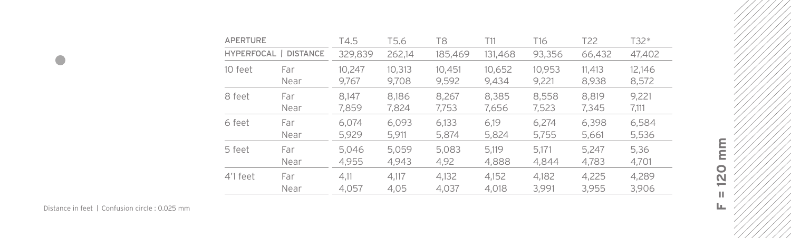| <b>APERTURE</b> |                       | T4.5    | T5.6   | T8      | T11     | T16    | T <sub>22</sub> | T32*   |
|-----------------|-----------------------|---------|--------|---------|---------|--------|-----------------|--------|
|                 | HYPERFOCAL   DISTANCE | 329.839 | 262.14 | 185,469 | 131,468 | 93,356 | 66,432          | 47,402 |
| 10 feet         | Far                   | 10,247  | 10,313 | 10,451  | 10,652  | 10,953 | 11.413          | 12,146 |
|                 | Near                  | 9,767   | 9,708  | 9,592   | 9,434   | 9,221  | 8,938           | 8,572  |
| 8 feet          | Far                   | 8.147   | 8.186  | 8.267   | 8.385   | 8.558  | 8.819           | 9.221  |
|                 | Near                  | 7,859   | 7,824  | 7,753   | 7,656   | 7,523  | 7,345           | 7,111  |
| 6 feet          | Far                   | 6.074   | 6.093  | 6.133   | 6.19    | 6.274  | 6.398           | 6,584  |
|                 | Near                  | 5,929   | 5,911  | 5,874   | 5.824   | 5,755  | 5,661           | 5,536  |
| 5 feet          | Far                   | 5,046   | 5.059  | 5,083   | 5.119   | 5.171  | 5.247           | 5,36   |
|                 | Near                  | 4.955   | 4.943  | 4,92    | 4.888   | 4.844  | 4,783           | 4,701  |
| 4'1 feet        | Far                   | 4.11    | 4.117  | 4.132   | 4.152   | 4.182  | 4.225           | 4.289  |
|                 | Near                  | 4.057   | 4.05   | 4.037   | 4.018   | 3.991  | 3,955           | 3.906  |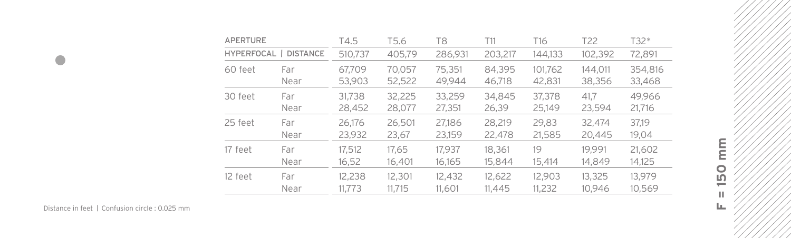| <b>APERTURE</b> |                 | T4.5    | T5.6   | T8      | T11     | T16     | T <sub>22</sub> | T32*    |
|-----------------|-----------------|---------|--------|---------|---------|---------|-----------------|---------|
| HYPERFOCAL      | <b>DISTANCE</b> | 510,737 | 405.79 | 286,931 | 203,217 | 144,133 | 102,392         | 72,891  |
| 60 feet         | Far             | 67.709  | 70,057 | 75,351  | 84,395  | 101,762 | 144.011         | 354,816 |
|                 | Near            | 53,903  | 52,522 | 49,944  | 46.718  | 42,831  | 38,356          | 33,468  |
| 30 feet         | Far             | 31.738  | 32.225 | 33.259  | 34.845  | 37,378  | 41.7            | 49.966  |
|                 | Near            | 28,452  | 28,077 | 27,351  | 26,39   | 25,149  | 23,594          | 21,716  |
| 25 feet         | Far             | 26.176  | 26,501 | 27.186  | 28.219  | 29.83   | 32,474          | 37.19   |
|                 | Near            | 23,932  | 23,67  | 23,159  | 22,478  | 21,585  | 20.445          | 19,04   |
| 17 feet         | Far             | 17,512  | 17,65  | 17.937  | 18,361  | 19      | 19.991          | 21,602  |
|                 | Near            | 16,52   | 16,401 | 16.165  | 15,844  | 15,414  | 14.849          | 14,125  |
| 12 feet         | Far             | 12.238  | 12,301 | 12,432  | 12,622  | 12.903  | 13,325          | 13.979  |
|                 | Near            | 11.773  | 11.715 | 11.601  | 11.445  | 11,232  | 10.946          | 10.569  |

 $\bullet$ 

mm **F = 150 mm**150  $\mathbb H$  $\mathbf{L}_\mathbf{L}$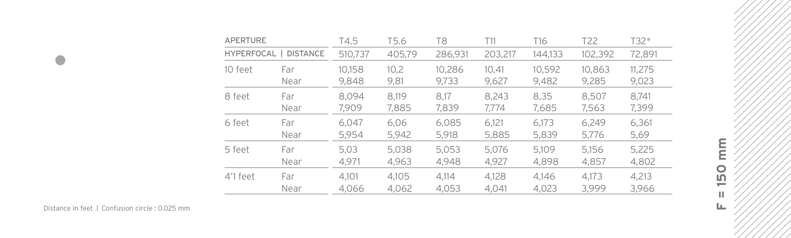| <b>APERTURE</b> |                       | T4.5    | T5.6   | T8      | T11     | T16     | T22     | T32*   |
|-----------------|-----------------------|---------|--------|---------|---------|---------|---------|--------|
|                 | HYPERFOCAL   DISTANCE | 510,737 | 405.79 | 286.931 | 203,217 | 144.133 | 102,392 | 72,891 |
| 10 feet         | Far                   | 10,158  | 10,2   | 10,286  | 10.41   | 10,592  | 10.863  | 11,275 |
|                 | Near                  | 9.848   | 9,81   | 9,733   | 9,627   | 9,482   | 9.285   | 9,023  |
| 8 feet          | Far                   | 8.094   | 8.119  | 8.17    | 8.243   | 8.35    | 8.507   | 8.741  |
|                 | Near                  | 7.909   | 7,885  | 7,839   | 7.774   | 7,685   | 7,563   | 7,399  |
| 6 feet          | Far                   | 6.047   | 6.06   | 6.085   | 6.121   | 6.173   | 6.249   | 6,361  |
|                 | Near                  | 5,954   | 5.942  | 5,918   | 5,885   | 5,839   | 5,776   | 5,69   |
| 5 feet          | Far                   | 5.03    | 5.038  | 5.053   | 5.076   | 5.109   | 5.156   | 5.225  |
|                 | Near                  | 4,971   | 4.963  | 4,948   | 4,927   | 4,898   | 4.857   | 4,802  |
| 4'1 feet        | Far                   | 4.101   | 4.105  | 4.114   | 4.128   | 4.146   | 4.173   | 4.213  |
|                 | Near                  | 4.066   | 4.062  | 4,053   | 4.041   | 4.023   | 3.999   | 3.966  |

mm **F = 150 mm**150  $\mathbb H$  $\mathbf{L}_\mathbf{L}$ 

Distance in feet / Confusion circle : 0.025 mm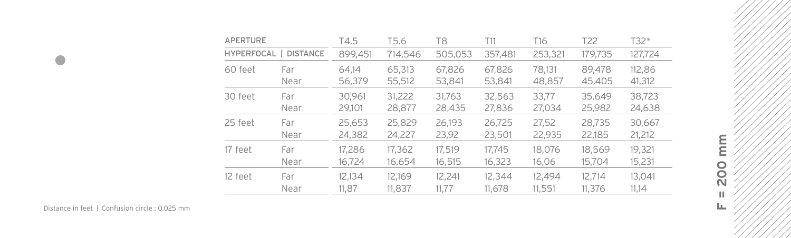| <b>APERTURE</b> |                       | T4.5    | T5.6    | T8      | T11     | T16     | T <sub>22</sub> | T32*    |
|-----------------|-----------------------|---------|---------|---------|---------|---------|-----------------|---------|
|                 | HYPERFOCAL   DISTANCE | 899,451 | 714,546 | 505,053 | 357,481 | 253,321 | 179,735         | 127,724 |
| 60 feet         | Far                   | 64.14   | 65,313  | 67,826  | 67,826  | 78.131  | 89,478          | 112,86  |
|                 | Near                  | 56,379  | 55,512  | 53,841  | 53,841  | 48,857  | 45,405          | 41,312  |
| 30 feet         | Far                   | 30.961  | 31.222  | 31.763  | 32,563  | 33.77   | 35.649          | 38,723  |
|                 | Near                  | 29,101  | 28,877  | 28,435  | 27,836  | 27,034  | 25,982          | 24,638  |
| 25 feet         | Far                   | 25,653  | 25,829  | 26.193  | 26.725  | 27,52   | 28.735          | 30,667  |
|                 | Near                  | 24,382  | 24,227  | 23,92   | 23,501  | 22,935  | 22,185          | 21,212  |
| 17 feet         | Far                   | 17,286  | 17,362  | 17.519  | 17.745  | 18,076  | 18,569          | 19.321  |
|                 | Near                  | 16.724  | 16.654  | 16.515  | 16,323  | 16,06   | 15,704          | 15,231  |
| 12 feet         | Far                   | 12.134  | 12.169  | 12.241  | 12,344  | 12.494  | 12.714          | 13,041  |
|                 | Near                  | 11.87   | 11,837  | 11.77   | 11.678  | 11,551  | 11,376          | 11.14   |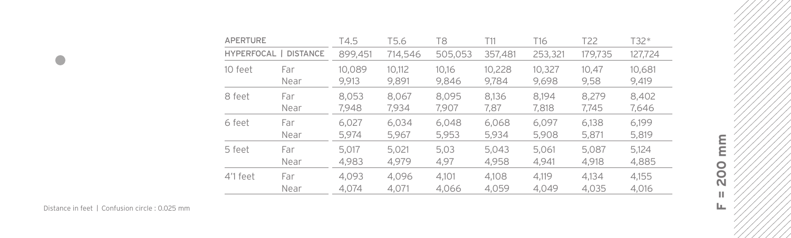| <b>APERTURE</b> |                       | T4.5    | T5.6    | T8      | T11     | T16     | T22     | T32*    |
|-----------------|-----------------------|---------|---------|---------|---------|---------|---------|---------|
|                 | HYPERFOCAL   DISTANCE | 899,451 | 714,546 | 505.053 | 357,481 | 253,321 | 179,735 | 127,724 |
| 10 feet         | Far                   | 10.089  | 10,112  | 10.16   | 10,228  | 10,327  | 10,47   | 10.681  |
|                 | Near                  | 9.913   | 9,891   | 9,846   | 9.784   | 9,698   | 9,58    | 9,419   |
| 8 feet          | Far                   | 8.053   | 8.067   | 8.095   | 8.136   | 8.194   | 8.279   | 8,402   |
|                 | Near                  | 7,948   | 7,934   | 7.907   | 7,87    | 7,818   | 7.745   | 7,646   |
| 6 feet          | Far                   | 6.027   | 6.034   | 6.048   | 6.068   | 6.097   | 6.138   | 6.199   |
|                 | Near                  | 5.974   | 5,967   | 5,953   | 5.934   | 5,908   | 5,871   | 5,819   |
| 5 feet          | Far                   | 5.017   | 5.021   | 5.03    | 5.043   | 5.061   | 5.087   | 5.124   |
|                 | Near                  | 4,983   | 4.979   | 4,97    | 4.958   | 4.941   | 4.918   | 4,885   |
| 4'1 feet        | Far                   | 4.093   | 4.096   | 4.101   | 4.108   | 4.119   | 4.134   | 4.155   |
|                 | Near                  | 4.074   | 4.071   | 4.066   | 4,059   | 4.049   | 4.035   | 4.016   |

mm **F = 200 mm200**  $\mathbb H$  $\mathbf{L}_\mathbf{L}$ 

Distance in feet / Confusion circle : 0.025 mm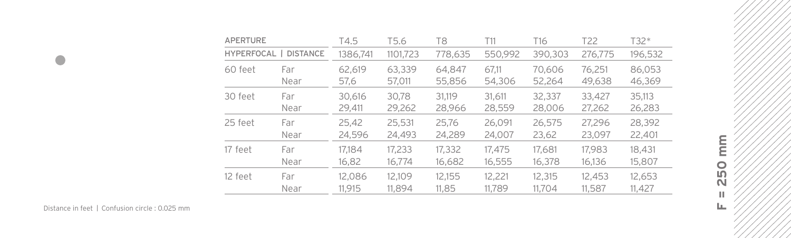| <b>APERTURE</b>       |      | T4.5     | T5.6     | T8      | T11     | T16     | T <sub>22</sub> | T32*    |
|-----------------------|------|----------|----------|---------|---------|---------|-----------------|---------|
| HYPERFOCAL   DISTANCE |      | 1386,741 | 1101,723 | 778,635 | 550.992 | 390,303 | 276,775         | 196,532 |
| 60 feet               | Far  | 62.619   | 63,339   | 64.847  | 67.11   | 70,606  | 76.251          | 86,053  |
|                       | Near | 57,6     | 57,011   | 55,856  | 54,306  | 52,264  | 49,638          | 46,369  |
| 30 feet               | Far  | 30.616   | 30.78    | 31.119  | 31.611  | 32,337  | 33.427          | 35,113  |
|                       | Near | 29,411   | 29,262   | 28,966  | 28,559  | 28,006  | 27,262          | 26,283  |
| 25 feet               | Far  | 25,42    | 25,531   | 25,76   | 26,091  | 26,575  | 27.296          | 28,392  |
|                       | Near | 24,596   | 24,493   | 24,289  | 24,007  | 23,62   | 23,097          | 22,401  |
| 17 feet               | Far  | 17.184   | 17.233   | 17,332  | 17.475  | 17.681  | 17.983          | 18,431  |
|                       | Near | 16,82    | 16,774   | 16,682  | 16,555  | 16,378  | 16,136          | 15,807  |
| 12 feet               | Far  | 12.086   | 12.109   | 12.155  | 12,221  | 12,315  | 12,453          | 12,653  |
|                       | Near | 11.915   | 11.894   | 11.85   | 11.789  | 11.704  | 11,587          | 11.427  |

 $\bullet$ 

 $\sum_{i=1}^{n}$ **F = 250 mm250**  $\mathbb H$  $\mathbf{L}_\mathbf{L}$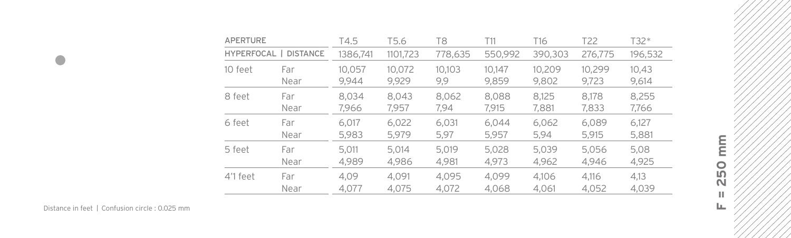| <b>APERTURE</b>       |      | T4.5     | T5.6     | T8      | T11     | T16     | T22     | T32*    |
|-----------------------|------|----------|----------|---------|---------|---------|---------|---------|
| HYPERFOCAL   DISTANCE |      | 1386,741 | 1101.723 | 778,635 | 550,992 | 390,303 | 276,775 | 196,532 |
| 10 feet               | Far  | 10.057   | 10,072   | 10.103  | 10.147  | 10,209  | 10.299  | 10,43   |
|                       | Near | 9,944    | 9.929    | 9,9     | 9.859   | 9,802   | 9,723   | 9,614   |
| 8 feet                | Far  | 8.034    | 8.043    | 8,062   | 8.088   | 8.125   | 8.178   | 8,255   |
|                       | Near | 7,966    | 7,957    | 7.94    | 7,915   | 7,881   | 7,833   | 7,766   |
| 6 feet                | Far  | 6.017    | 6,022    | 6.031   | 6.044   | 6.062   | 6.089   | 6.127   |
|                       | Near | 5.983    | 5.979    | 5,97    | 5.957   | 5,94    | 5,915   | 5,881   |
| 5 feet                | Far  | 5.011    | 5.014    | 5.019   | 5.028   | 5.039   | 5.056   | 5,08    |
|                       | Near | 4,989    | 4,986    | 4.981   | 4.973   | 4.962   | 4.946   | 4.925   |
| 4'1 feet              | Far  | 4.09     | 4.091    | 4.095   | 4.099   | 4.106   | 4.116   | 4.13    |
|                       | Near | 4.077    | 4.075    | 4,072   | 4.068   | 4.061   | 4.052   | 4.039   |

 $\bullet$ 

mm **F = 250 mm250**  $\mathbb H$  $\mathbf{L}_\mathbf{L}$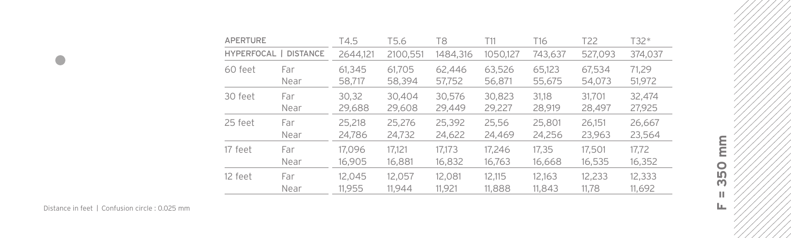| <b>APERTURE</b>       |      | T4.5     | T5.6     | T8       | T11      | T16     | T <sub>22</sub> | T32*    |
|-----------------------|------|----------|----------|----------|----------|---------|-----------------|---------|
| HYPERFOCAL   DISTANCE |      | 2644,121 | 2100,551 | 1484,316 | 1050,127 | 743,637 | 527,093         | 374,037 |
| 60 feet               | Far  | 61.345   | 61.705   | 62.446   | 63,526   | 65,123  | 67,534          | 71.29   |
|                       | Near | 58,717   | 58,394   | 57,752   | 56,871   | 55,675  | 54,073          | 51,972  |
| 30 feet               | Far  | 30,32    | 30,404   | 30.576   | 30,823   | 31.18   | 31.701          | 32,474  |
|                       | Near | 29,688   | 29,608   | 29,449   | 29,227   | 28,919  | 28,497          | 27,925  |
| 25 feet               | Far  | 25,218   | 25,276   | 25,392   | 25,56    | 25,801  | 26.151          | 26,667  |
|                       | Near | 24,786   | 24,732   | 24,622   | 24,469   | 24,256  | 23,963          | 23,564  |
| 17 feet               | Far  | 17.096   | 17.121   | 17.173   | 17.246   | 17.35   | 17.501          | 17.72   |
|                       | Near | 16.905   | 16,881   | 16,832   | 16,763   | 16,668  | 16,535          | 16,352  |
| 12 feet               | Far  | 12.045   | 12.057   | 12.081   | 12.115   | 12.163  | 12,233          | 12,333  |
|                       | Near | 11.955   | 11.944   | 11.921   | 11,888   | 11.843  | 11.78           | 11,692  |

**F = 350 mm**

350  $\mathbb H$  $\mathbf{L}_\mathbf{L}$ 

 $\frac{\epsilon}{E}$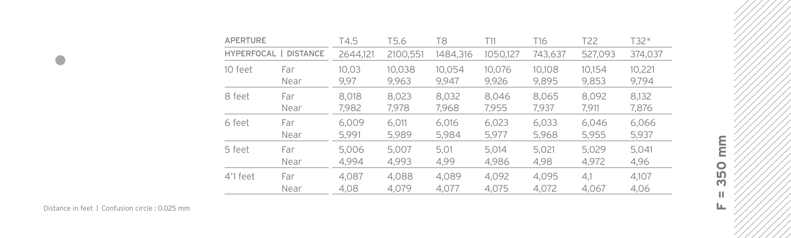| <b>APERTURE</b>       |      | T4.5     | T5.6     | T8       | T11      | T16     | T22     | T32*    |
|-----------------------|------|----------|----------|----------|----------|---------|---------|---------|
| HYPERFOCAL   DISTANCE |      | 2644,121 | 2100,551 | 1484,316 | 1050,127 | 743,637 | 527,093 | 374,037 |
| 10 feet               | Far  | 10,03    | 10,038   | 10,054   | 10.076   | 10.108  | 10.154  | 10,221  |
|                       | Near | 9,97     | 9.963    | 9.947    | 9,926    | 9.895   | 9,853   | 9,794   |
| 8 feet                | Far  | 8.018    | 8.023    | 8.032    | 8.046    | 8.065   | 8.092   | 8,132   |
|                       | Near | 7,982    | 7,978    | 7,968    | 7,955    | 7.937   | 7.911   | 7,876   |
| 6 feet                | Far  | 6.009    | 6.011    | 6.016    | 6.023    | 6.033   | 6.046   | 6,066   |
|                       | Near | 5.991    | 5.989    | 5.984    | 5.977    | 5,968   | 5.955   | 5,937   |
| 5 feet                | Far  | 5.006    | 5.007    | 5.01     | 5.014    | 5.021   | 5.029   | 5.041   |
|                       | Near | 4.994    | 4.993    | 4.99     | 4,986    | 4,98    | 4.972   | 4,96    |
| 4'1 feet              | Far  | 4.087    | 4.088    | 4.089    | 4.092    | 4.095   | 4.1     | 4.107   |
|                       | Near | 4.08     | 4.079    | 4.077    | 4.075    | 4,072   | 4.067   | 4.06    |

mm **F = 350 mm**350  $\mathbb H$  $\mathbf{L}_\mathbf{L}$ 

Distance in feet / Confusion circle : 0.025 mm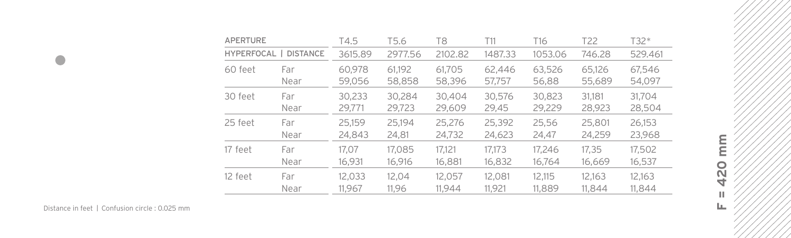| <b>APERTURE</b>                 |      | T4.5    | T5.6    | T8      | T11     | T16     | T <sub>22</sub> | T32*    |
|---------------------------------|------|---------|---------|---------|---------|---------|-----------------|---------|
| HYPERFOCAL  <br><b>DISTANCE</b> |      | 3615.89 | 2977.56 | 2102.82 | 1487.33 | 1053.06 | 746.28          | 529.461 |
| 60 feet                         | Far  | 60,978  | 61,192  | 61,705  | 62,446  | 63,526  | 65.126          | 67,546  |
|                                 | Near | 59,056  | 58,858  | 58,396  | 57,757  | 56,88   | 55,689          | 54,097  |
| 30 feet                         | Far  | 30.233  | 30.284  | 30,404  | 30,576  | 30,823  | 31.181          | 31.704  |
|                                 | Near | 29,771  | 29,723  | 29,609  | 29.45   | 29,229  | 28,923          | 28,504  |
| 25 feet                         | Far  | 25.159  | 25.194  | 25,276  | 25,392  | 25,56   | 25,801          | 26.153  |
|                                 | Near | 24,843  | 24,81   | 24,732  | 24,623  | 24,47   | 24,259          | 23,968  |
| 17 feet                         | Far  | 17.07   | 17.085  | 17.121  | 17.173  | 17.246  | 17.35           | 17,502  |
|                                 | Near | 16,931  | 16,916  | 16,881  | 16,832  | 16,764  | 16.669          | 16,537  |
| 12 feet                         | Far  | 12.033  | 12.04   | 12.057  | 12.081  | 12.115  | 12.163          | 12,163  |
|                                 | Near | 11.967  | 11.96   | 11.944  | 11.921  | 11,889  | 11.844          | 11.844  |

 $\bullet$ 

mm **F = 420 mm**420  $\mathbb H$  $\mathbf{L}_\mathbf{L}$